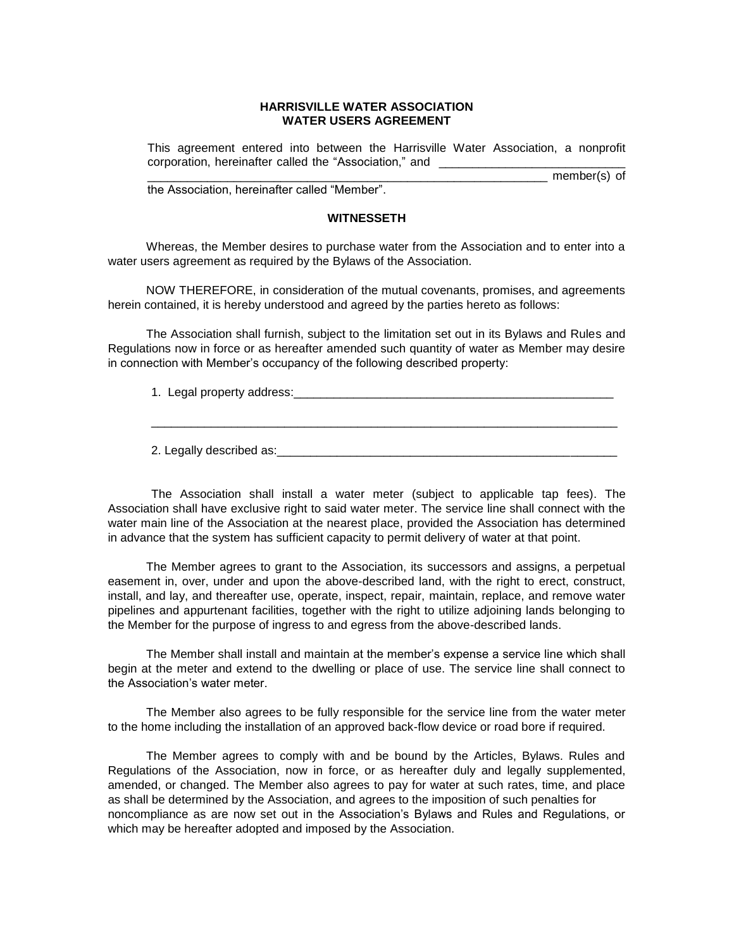## **HARRISVILLE WATER ASSOCIATION WATER USERS AGREEMENT**

This agreement entered into between the Harrisville Water Association, a nonprofit corporation, hereinafter called the "Association," and \_\_\_\_\_\_\_\_\_\_\_\_\_\_\_\_\_\_\_\_\_\_\_\_\_

 $m$ ember(s) of the Association, hereinafter called "Member".

## **WITNESSETH**

Whereas, the Member desires to purchase water from the Association and to enter into a water users agreement as required by the Bylaws of the Association.

NOW THEREFORE, in consideration of the mutual covenants, promises, and agreements herein contained, it is hereby understood and agreed by the parties hereto as follows:

The Association shall furnish, subject to the limitation set out in its Bylaws and Rules and Regulations now in force or as hereafter amended such quantity of water as Member may desire in connection with Member's occupancy of the following described property:

1. Legal property address:

2. Legally described as:

The Association shall install a water meter (subject to applicable tap fees). The Association shall have exclusive right to said water meter. The service line shall connect with the water main line of the Association at the nearest place, provided the Association has determined in advance that the system has sufficient capacity to permit delivery of water at that point.

The Member agrees to grant to the Association, its successors and assigns, a perpetual easement in, over, under and upon the above-described land, with the right to erect, construct, install, and lay, and thereafter use, operate, inspect, repair, maintain, replace, and remove water pipelines and appurtenant facilities, together with the right to utilize adjoining lands belonging to the Member for the purpose of ingress to and egress from the above-described lands.

The Member shall install and maintain at the member's expense a service line which shall begin at the meter and extend to the dwelling or place of use. The service line shall connect to the Association's water meter.

The Member also agrees to be fully responsible for the service line from the water meter to the home including the installation of an approved back-flow device or road bore if required.

The Member agrees to comply with and be bound by the Articles, Bylaws. Rules and Regulations of the Association, now in force, or as hereafter duly and legally supplemented, amended, or changed. The Member also agrees to pay for water at such rates, time, and place as shall be determined by the Association, and agrees to the imposition of such penalties for noncompliance as are now set out in the Association's Bylaws and Rules and Regulations, or which may be hereafter adopted and imposed by the Association.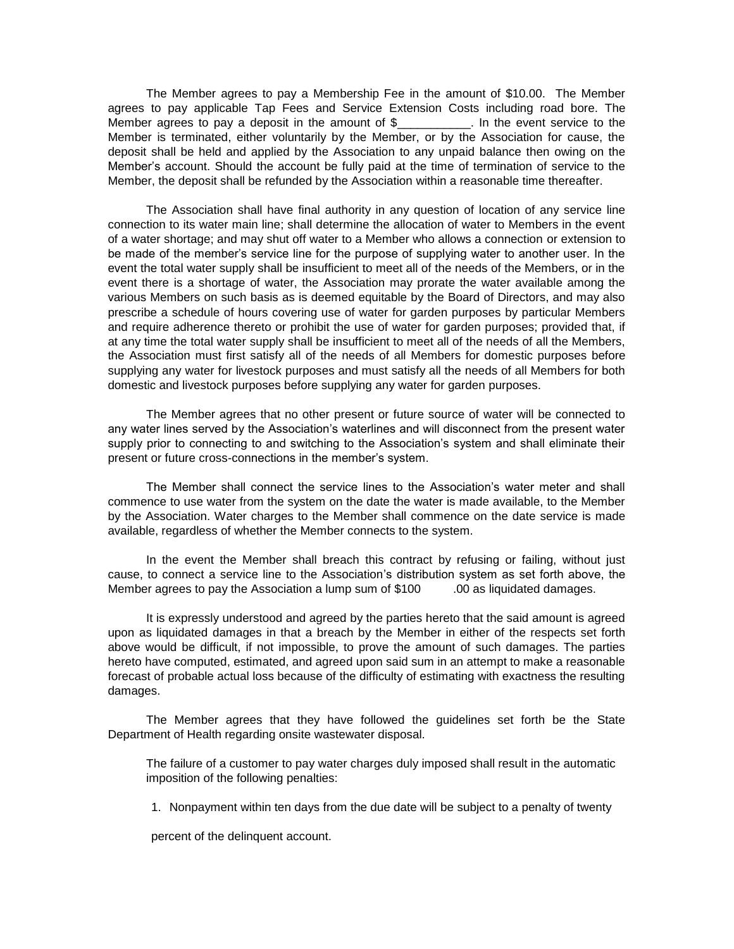The Member agrees to pay a Membership Fee in the amount of \$10.00. The Member agrees to pay applicable Tap Fees and Service Extension Costs including road bore. The Member agrees to pay a deposit in the amount of \$ The event service to the Member is terminated, either voluntarily by the Member, or by the Association for cause, the deposit shall be held and applied by the Association to any unpaid balance then owing on the Member's account. Should the account be fully paid at the time of termination of service to the Member, the deposit shall be refunded by the Association within a reasonable time thereafter.

The Association shall have final authority in any question of location of any service line connection to its water main line; shall determine the allocation of water to Members in the event of a water shortage; and may shut off water to a Member who allows a connection or extension to be made of the member's service line for the purpose of supplying water to another user. In the event the total water supply shall be insufficient to meet all of the needs of the Members, or in the event there is a shortage of water, the Association may prorate the water available among the various Members on such basis as is deemed equitable by the Board of Directors, and may also prescribe a schedule of hours covering use of water for garden purposes by particular Members and require adherence thereto or prohibit the use of water for garden purposes; provided that, if at any time the total water supply shall be insufficient to meet all of the needs of all the Members, the Association must first satisfy all of the needs of all Members for domestic purposes before supplying any water for livestock purposes and must satisfy all the needs of all Members for both domestic and livestock purposes before supplying any water for garden purposes.

The Member agrees that no other present or future source of water will be connected to any water lines served by the Association's waterlines and will disconnect from the present water supply prior to connecting to and switching to the Association's system and shall eliminate their present or future cross-connections in the member's system.

The Member shall connect the service lines to the Association's water meter and shall commence to use water from the system on the date the water is made available, to the Member by the Association. Water charges to the Member shall commence on the date service is made available, regardless of whether the Member connects to the system.

In the event the Member shall breach this contract by refusing or failing, without just cause, to connect a service line to the Association's distribution system as set forth above, the Member agrees to pay the Association a lump sum of \$100 .00 as liquidated damages.

It is expressly understood and agreed by the parties hereto that the said amount is agreed upon as liquidated damages in that a breach by the Member in either of the respects set forth above would be difficult, if not impossible, to prove the amount of such damages. The parties hereto have computed, estimated, and agreed upon said sum in an attempt to make a reasonable forecast of probable actual loss because of the difficulty of estimating with exactness the resulting damages.

The Member agrees that they have followed the guidelines set forth be the State Department of Health regarding onsite wastewater disposal.

The failure of a customer to pay water charges duly imposed shall result in the automatic imposition of the following penalties:

1. Nonpayment within ten days from the due date will be subject to a penalty of twenty

percent of the delinquent account.